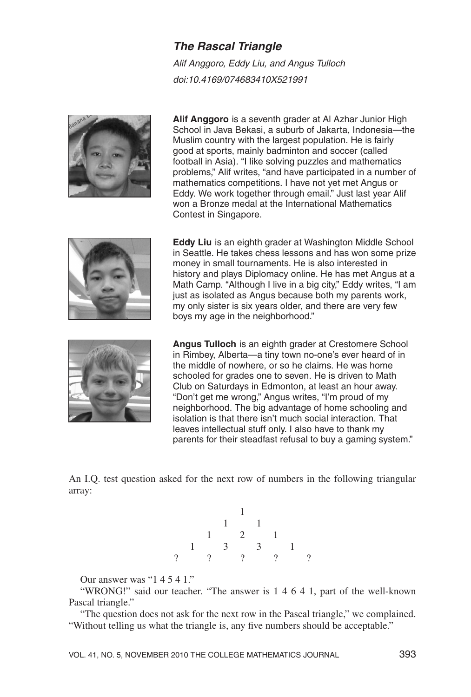## **The Rascal Triangle**

Alif Anggoro, Eddy Liu, and Angus Tulloch doi:10.4169/074683410X521991



**Alif Anggoro** is a seventh grader at Al Azhar Junior High School in Java Bekasi, a suburb of Jakarta, Indonesia—the Muslim country with the largest population. He is fairly good at sports, mainly badminton and soccer (called football in Asia). "I like solving puzzles and mathematics problems," Alif writes, "and have participated in a number of mathematics competitions. I have not yet met Angus or Eddy. We work together through email." Just last year Alif won a Bronze medal at the International Mathematics Contest in Singapore.



**Eddy Liu** is an eighth grader at Washington Middle School in Seattle. He takes chess lessons and has won some prize money in small tournaments. He is also interested in history and plays Diplomacy online. He has met Angus at a Math Camp. "Although I live in a big city," Eddy writes, "I am just as isolated as Angus because both my parents work, my only sister is six years older, and there are very few boys my age in the neighborhood."



**Angus Tulloch** is an eighth grader at Crestomere School in Rimbey, Alberta—a tiny town no-one's ever heard of in the middle of nowhere, or so he claims. He was home schooled for grades one to seven. He is driven to Math Club on Saturdays in Edmonton, at least an hour away. "Don't get me wrong," Angus writes, "I'm proud of my neighborhood. The big advantage of home schooling and isolation is that there isn't much social interaction. That leaves intellectual stuff only. I also have to thank my parents for their steadfast refusal to buy a gaming system."

An I.Q. test question asked for the next row of numbers in the following triangular array:



Our answer was "1 4 5 4 1."

"WRONG!" said our teacher. "The answer is 1 4 6 4 1, part of the well-known Pascal triangle."

"The question does not ask for the next row in the Pascal triangle," we complained. "Without telling us what the triangle is, any five numbers should be acceptable."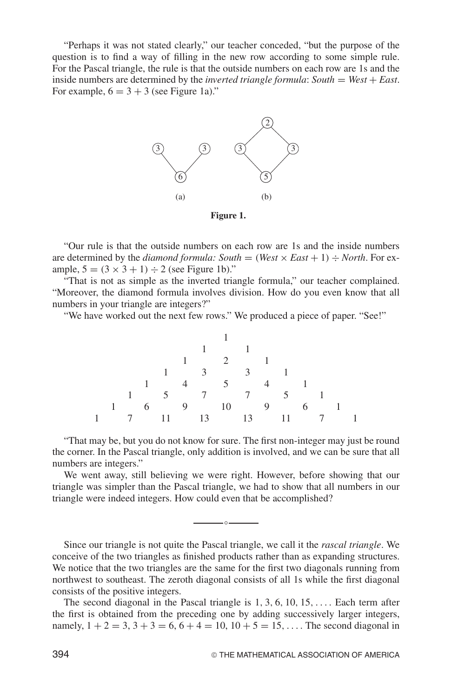"Perhaps it was not stated clearly," our teacher conceded, "but the purpose of the question is to find a way of filling in the new row according to some simple rule. For the Pascal triangle, the rule is that the outside numbers on each row are 1s and the inside numbers are determined by the *inverted triangle formula*: *South* = *West* + *East*. For example,  $6 = 3 + 3$  (see Figure 1a)."



"Our rule is that the outside numbers on each row are 1s and the inside numbers are determined by the *diamond formula:* South = (*West*  $\times$  *East* + 1)  $\div$  *North*. For example,  $5 = (3 \times 3 + 1) \div 2$  (see Figure 1b)."

"That is not as simple as the inverted triangle formula," our teacher complained. "Moreover, the diamond formula involves division. How do you even know that all numbers in your triangle are integers?"

"We have worked out the next few rows." We produced a piece of paper. "See!"

1 1 1 121 13 31 14 5 41 15 7 7 51 1 6 9 10 9 6 1 1 7 11 13 13 11 7 1

"That may be, but you do not know for sure. The first non-integer may just be round the corner. In the Pascal triangle, only addition is involved, and we can be sure that all numbers are integers."

We went away, still believing we were right. However, before showing that our triangle was simpler than the Pascal triangle, we had to show that all numbers in our triangle were indeed integers. How could even that be accomplished?

 $\circ$  –

Since our triangle is not quite the Pascal triangle, we call it the *rascal triangle*. We conceive of the two triangles as finished products rather than as expanding structures. We notice that the two triangles are the same for the first two diagonals running from northwest to southeast. The zeroth diagonal consists of all 1s while the first diagonal consists of the positive integers.

The second diagonal in the Pascal triangle is  $1, 3, 6, 10, 15, \ldots$ . Each term after the first is obtained from the preceding one by adding successively larger integers, namely,  $1 + 2 = 3$ ,  $3 + 3 = 6$ ,  $6 + 4 = 10$ ,  $10 + 5 = 15$ , ... The second diagonal in